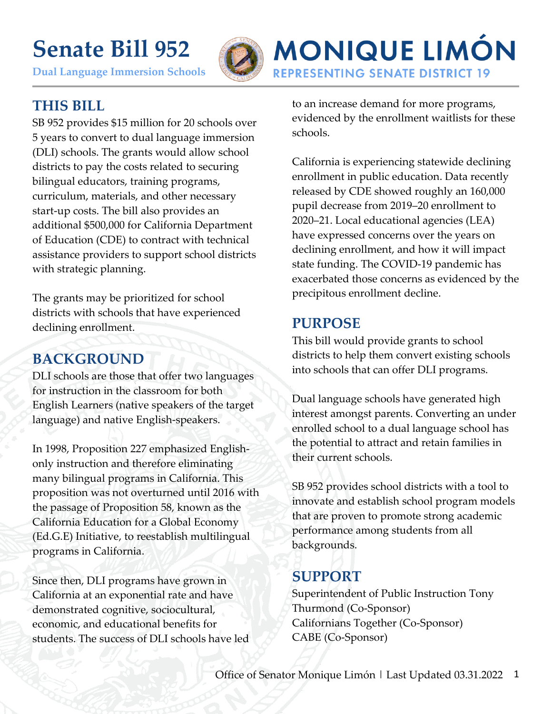# **Senate Bill 952**

**Dual Language Immersion Schools**



## **MONIQUE LIMÓN REPRESENTING SENATE DISTRICT 19**

#### **THIS BILL**

SB 952 provides \$15 million for 20 schools over 5 years to convert to dual language immersion (DLI) schools. The grants would allow school districts to pay the costs related to securing bilingual educators, training programs, curriculum, materials, and other necessary start-up costs. The bill also provides an additional \$500,000 for California Department of Education (CDE) to contract with technical assistance providers to support school districts with strategic planning.

The grants may be prioritized for school districts with schools that have experienced declining enrollment.

#### **BACKGROUND**

DLI schools are those that offer two languages for instruction in the classroom for both English Learners (native speakers of the target language) and native English-speakers.

In 1998, Proposition 227 emphasized Englishonly instruction and therefore eliminating many bilingual programs in California. This proposition was not overturned until 2016 with the passage of Proposition 58, known as the California Education for a Global Economy (Ed.G.E) Initiative, to reestablish multilingual programs in California.

Since then, DLI programs have grown in California at an exponential rate and have demonstrated cognitive, sociocultural, economic, and educational benefits for students. The success of DLI schools have led to an increase demand for more programs, evidenced by the enrollment waitlists for these schools.

California is experiencing statewide declining enrollment in public education. Data recently released by CDE showed roughly an 160,000 pupil decrease from 2019–20 enrollment to 2020–21. Local educational agencies (LEA) have expressed concerns over the years on declining enrollment, and how it will impact state funding. The COVID-19 pandemic has exacerbated those concerns as evidenced by the precipitous enrollment decline.

#### **PURPOSE**

This bill would provide grants to school districts to help them convert existing schools into schools that can offer DLI programs.

Dual language schools have generated high interest amongst parents. Converting an under enrolled school to a dual language school has the potential to attract and retain families in their current schools.

SB 952 provides school districts with a tool to innovate and establish school program models that are proven to promote strong academic performance among students from all backgrounds.

#### **SUPPORT**

Superintendent of Public Instruction Tony Thurmond (Co-Sponsor) Californians Together (Co-Sponsor) CABE (Co-Sponsor)